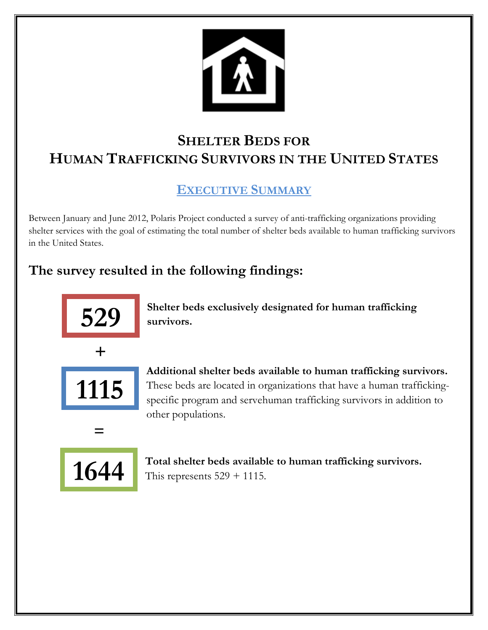

# **SHELTER BEDS FOR HUMAN TRAFFICKING SURVIVORS IN THE UNITED STATES**

# **EXECUTIVE SUMMARY**

Between January and June 2012, Polaris Project conducted a survey of anti-trafficking organizations providing shelter services with the goal of estimating the total number of shelter beds available to human trafficking survivors in the United States.

# **The survey resulted in the following findings:**



**Shelter beds exclusively designated for human trafficking survivors.**



**Additional shelter beds available to human trafficking survivors.** These beds are located in organizations that have a human traffickingspecific program and servehuman trafficking survivors in addition to other populations.



 **=**

**Total shelter beds available to human trafficking survivors.**  This represents  $529 + 1115$ .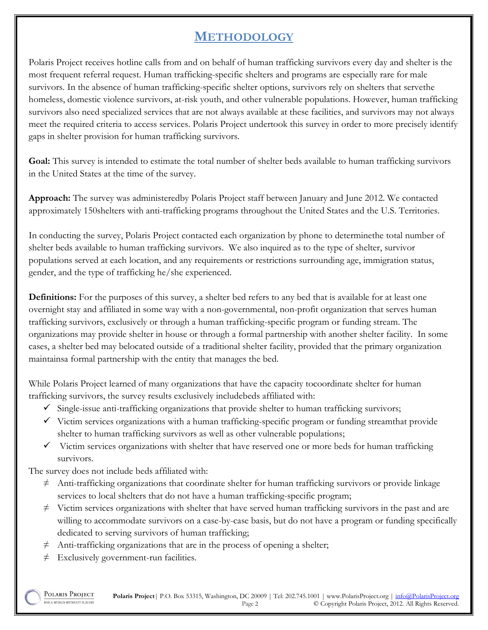## **METHODOLOGY**

Polaris Project receives hotline calls from and on behalf of human trafficking survivors every day and shelter is the most frequent referral request. Human trafficking-specific shelters and programs are especially rare for male survivors. In the absence of human trafficking-specific shelter options, survivors rely on shelters that servethe homeless, domestic violence survivors, at-risk youth, and other vulnerable populations. However, human trafficking survivors also need specialized services that are not always available at these facilities, and survivors may not always meet the required criteria to access services. Polaris Project undertook this survey in order to more precisely identify gaps in shelter provision for human trafficking survivors.

**Goal:** This survey is intended to estimate the total number of shelter beds available to human trafficking survivors in the United States at the time of the survey.

**Approach:** The survey was administeredby Polaris Project staff between January and June 2012. We contacted approximately 150shelters with anti-trafficking programs throughout the United States and the U.S. Territories.

In conducting the survey, Polaris Project contacted each organization by phone to determinethe total number of shelter beds available to human trafficking survivors. We also inquired as to the type of shelter, survivor populations served at each location, and any requirements or restrictions surrounding age, immigration status, gender, and the type of trafficking he/she experienced.

**Definitions:** For the purposes of this survey, a shelter bed refers to any bed that is available for at least one overnight stay and affiliated in some way with a non-governmental, non-profit organization that serves human trafficking survivors, exclusively or through a human trafficking-specific program or funding stream. The organizations may provide shelter in house or through a formal partnership with another shelter facility. In some cases, a shelter bed may belocated outside of a traditional shelter facility, provided that the primary organization maintainsa formal partnership with the entity that manages the bed.

While Polaris Project learned of many organizations that have the capacity tocoordinate shelter for human trafficking survivors, the survey results exclusively includebeds affiliated with:

- $\checkmark$  Single-issue anti-trafficking organizations that provide shelter to human trafficking survivors;
- $\checkmark$  Victim services organizations with a human trafficking-specific program or funding streamthat provide shelter to human trafficking survivors as well as other vulnerable populations;
- $\checkmark$  Victim services organizations with shelter that have reserved one or more beds for human trafficking survivors.

The survey does not include beds affiliated with:

- $\neq$  Anti-trafficking organizations that coordinate shelter for human trafficking survivors or provide linkage services to local shelters that do not have a human trafficking-specific program;
- $\neq$  Victim services organizations with shelter that have served human trafficking survivors in the past and are willing to accommodate survivors on a case-by-case basis, but do not have a program or funding specifically dedicated to serving survivors of human trafficking;
- $\neq$  Anti-trafficking organizations that are in the process of opening a shelter;
- $\neq$  Exclusively government-run facilities.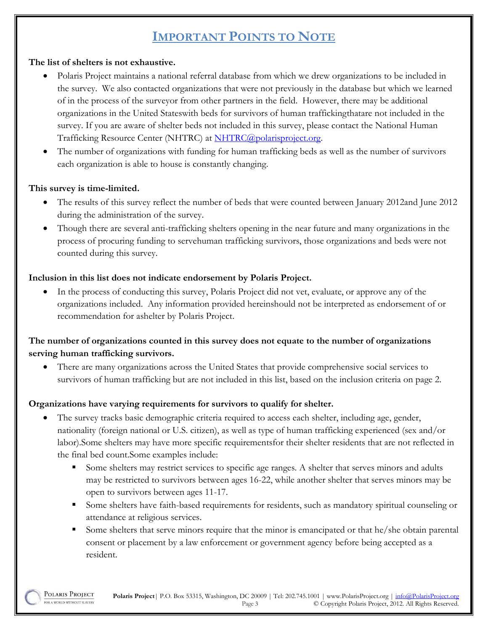## **IMPORTANT POINTS TO NOTE**

#### **The list of shelters is not exhaustive.**

- Polaris Project maintains a national referral database from which we drew organizations to be included in the survey. We also contacted organizations that were not previously in the database but which we learned of in the process of the surveyor from other partners in the field. However, there may be additional organizations in the United Stateswith beds for survivors of human traffickingthatare not included in the survey. If you are aware of shelter beds not included in this survey, please contact the National Human Trafficking Resource Center (NHTRC) at [NHTRC@polarisproject.org.](mailto:NHTRC@polarisproject.org)
- The number of organizations with funding for human trafficking beds as well as the number of survivors each organization is able to house is constantly changing.

#### **This survey is time-limited.**

- The results of this survey reflect the number of beds that were counted between January 2012and June 2012 during the administration of the survey.
- Though there are several anti-trafficking shelters opening in the near future and many organizations in the process of procuring funding to servehuman trafficking survivors, those organizations and beds were not counted during this survey.

#### **Inclusion in this list does not indicate endorsement by Polaris Project.**

 In the process of conducting this survey, Polaris Project did not vet, evaluate, or approve any of the organizations included. Any information provided hereinshould not be interpreted as endorsement of or recommendation for ashelter by Polaris Project.

#### **The number of organizations counted in this survey does not equate to the number of organizations serving human trafficking survivors.**

 There are many organizations across the United States that provide comprehensive social services to survivors of human trafficking but are not included in this list, based on the inclusion criteria on page 2.

#### **Organizations have varying requirements for survivors to qualify for shelter.**

- The survey tracks basic demographic criteria required to access each shelter, including age, gender, nationality (foreign national or U.S. citizen), as well as type of human trafficking experienced (sex and/or labor).Some shelters may have more specific requirementsfor their shelter residents that are not reflected in the final bed count.Some examples include:
	- Some shelters may restrict services to specific age ranges. A shelter that serves minors and adults may be restricted to survivors between ages 16-22, while another shelter that serves minors may be open to survivors between ages 11-17.
	- Some shelters have faith-based requirements for residents, such as mandatory spiritual counseling or attendance at religious services.
	- Some shelters that serve minors require that the minor is emancipated or that  $\frac{h}{k}$  he obtain parental consent or placement by a law enforcement or government agency before being accepted as a resident.

POLARIS PROJECT **Polaris Project**| P.O. Box 53315, Washington, DC 20009 | Tel: 202.745.1001 | www.PolarisProject.org | info@PolarisProject.org FOR A WORLD WITHOUT SLAVERY Page 3 © Copyright Polaris Project, 2012. All Rights Reserved.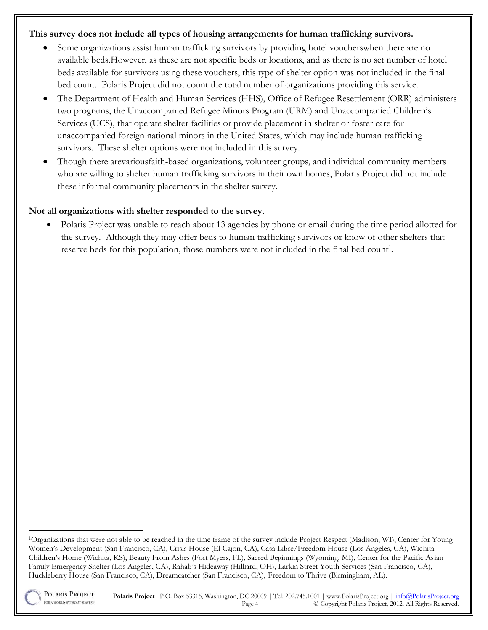#### **This survey does not include all types of housing arrangements for human trafficking survivors.**

- Some organizations assist human trafficking survivors by providing hotel voucherswhen there are no available beds.However, as these are not specific beds or locations, and as there is no set number of hotel beds available for survivors using these vouchers, this type of shelter option was not included in the final bed count. Polaris Project did not count the total number of organizations providing this service.
- The Department of Health and Human Services (HHS), Office of Refugee Resettlement (ORR) administers two programs, the Unaccompanied Refugee Minors Program (URM) and Unaccompanied Children's Services (UCS), that operate shelter facilities or provide placement in shelter or foster care for unaccompanied foreign national minors in the United States, which may include human trafficking survivors. These shelter options were not included in this survey.
- Though there arevariousfaith-based organizations, volunteer groups, and individual community members who are willing to shelter human trafficking survivors in their own homes, Polaris Project did not include these informal community placements in the shelter survey.

#### **Not all organizations with shelter responded to the survey.**

• Polaris Project was unable to reach about 13 agencies by phone or email during the time period allotted for the survey. Although they may offer beds to human trafficking survivors or know of other shelters that reserve beds for this population, those numbers were not included in the final bed count<sup>1</sup>.

<sup>1</sup>Organizations that were not able to be reached in the time frame of the survey include Project Respect (Madison, WI), Center for Young Women's Development (San Francisco, CA), Crisis House (El Cajon, CA), Casa Libre/Freedom House (Los Angeles, CA), Wichita Children's Home (Wichita, KS), Beauty From Ashes (Fort Myers, FL), Sacred Beginnings (Wyoming, MI), Center for the Pacific Asian Family Emergency Shelter (Los Angeles, CA), Rahab's Hideaway (Hilliard, OH), Larkin Street Youth Services (San Francisco, CA), Huckleberry House (San Francisco, CA), Dreamcatcher (San Francisco, CA), Freedom to Thrive (Birmingham, AL).



 $\overline{a}$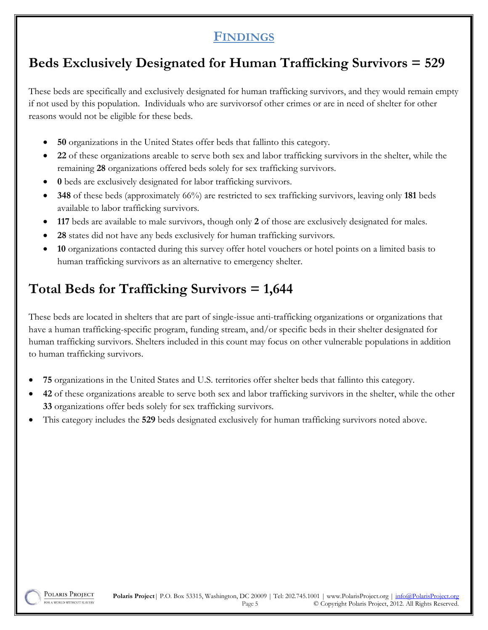### **FINDINGS**

# **Beds Exclusively Designated for Human Trafficking Survivors = 529**

These beds are specifically and exclusively designated for human trafficking survivors, and they would remain empty if not used by this population. Individuals who are survivorsof other crimes or are in need of shelter for other reasons would not be eligible for these beds.

- **50** organizations in the United States offer beds that fallinto this category.
- **22** of these organizations areable to serve both sex and labor trafficking survivors in the shelter, while the remaining **28** organizations offered beds solely for sex trafficking survivors.
- **0** beds are exclusively designated for labor trafficking survivors.
- **348** of these beds (approximately 66%) are restricted to sex trafficking survivors, leaving only **181** beds available to labor trafficking survivors.
- **117** beds are available to male survivors, though only **2** of those are exclusively designated for males.
- **28** states did not have any beds exclusively for human trafficking survivors.
- **10** organizations contacted during this survey offer hotel vouchers or hotel points on a limited basis to human trafficking survivors as an alternative to emergency shelter.

# **Total Beds for Trafficking Survivors = 1,644**

These beds are located in shelters that are part of single-issue anti-trafficking organizations or organizations that have a human trafficking-specific program, funding stream, and/or specific beds in their shelter designated for human trafficking survivors. Shelters included in this count may focus on other vulnerable populations in addition to human trafficking survivors.

- **75** organizations in the United States and U.S. territories offer shelter beds that fallinto this category.
- **42** of these organizations areable to serve both sex and labor trafficking survivors in the shelter, while the other **33** organizations offer beds solely for sex trafficking survivors.
- This category includes the **529** beds designated exclusively for human trafficking survivors noted above.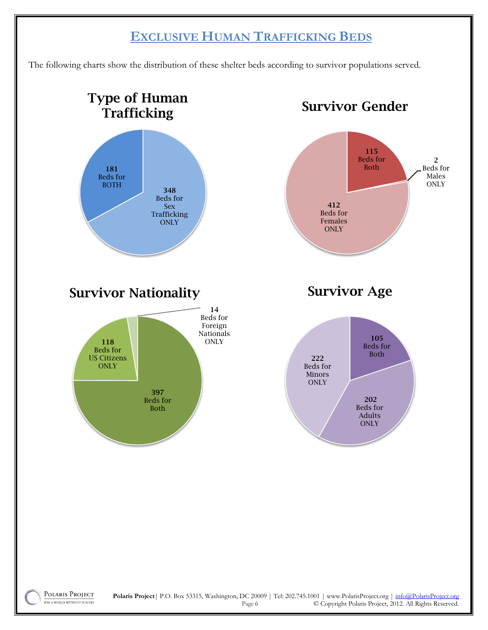### **EXCLUSIVE HUMAN TRAFFICKING BEDS**

The following charts show the distribution of these shelter beds according to survivor populations served.

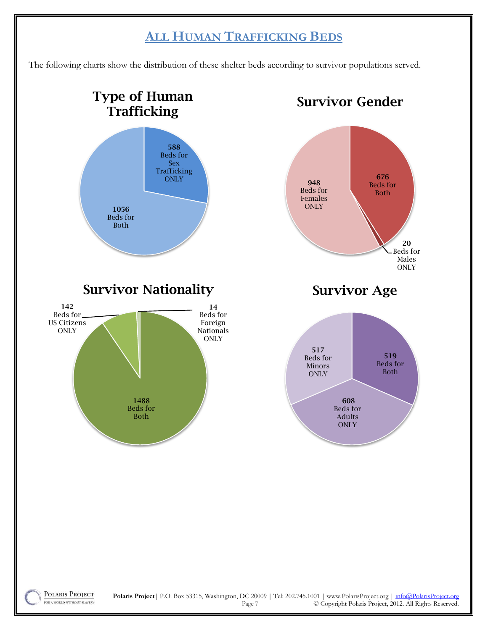## **ALL HUMAN TRAFFICKING BEDS**

The following charts show the distribution of these shelter beds according to survivor populations served.

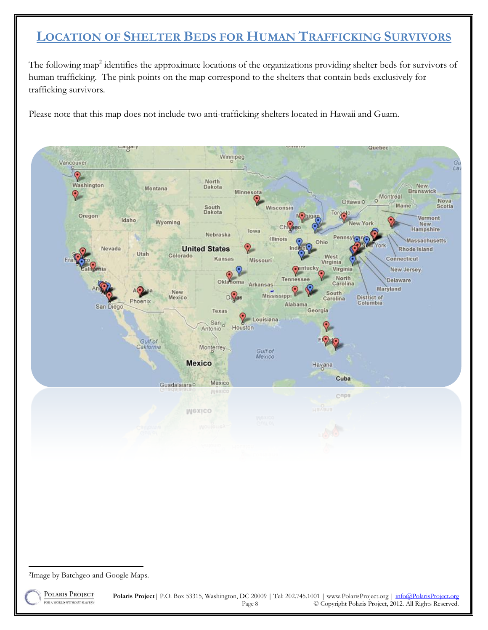## **LOCATION OF SHELTER BEDS FOR HUMAN TRAFFICKING SURVIVORS**

The following map<sup>2</sup> identifies the approximate locations of the organizations providing shelter beds for survivors of human trafficking. The pink points on the map correspond to the shelters that contain beds exclusively for trafficking survivors.

Please note that this map does not include two anti-trafficking shelters located in Hawaii and Guam.



FOR A WORLD WITHOUT SLAVERY

**Polaris Project**| P.O. Box 53315, Washington, DC 20009 | Tel: 202.745.1001 | www.PolarisProject.org | info@PolarisProject.org Page 8 © Copyright Polaris Project, 2012. All Rights Reserved.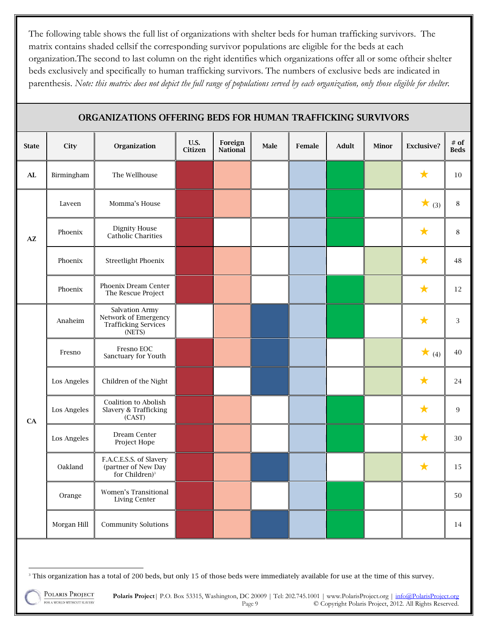The following table shows the full list of organizations with shelter beds for human trafficking survivors. The matrix contains shaded cellsif the corresponding survivor populations are eligible for the beds at each organization.The second to last column on the right identifies which organizations offer all or some oftheir shelter beds exclusively and specifically to human trafficking survivors. The numbers of exclusive beds are indicated in parenthesis. *Note: this matrix does not depict the full range of populations served by each organization, only those eligible for shelter.*

| <b>State</b>    | City        | Organization                                                                    | <b>U.S.</b><br>Citizen | Foreign<br><b>National</b> | Male | Female | <b>Adult</b> | Minor | <b>Exclusive?</b> | $#$ of<br><b>Beds</b> |
|-----------------|-------------|---------------------------------------------------------------------------------|------------------------|----------------------------|------|--------|--------------|-------|-------------------|-----------------------|
| AL              | Birmingham  | The Wellhouse                                                                   |                        |                            |      |        |              |       | ★                 | 10                    |
|                 | Laveen      | Momma's House                                                                   |                        |                            |      |        |              |       | $\star$ (3)       | $\, 8$                |
| $A\overline{Z}$ | Phoenix     | <b>Dignity House</b><br>Catholic Charities                                      |                        |                            |      |        |              |       | ★                 | $\, 8$                |
|                 | Phoenix     | <b>Streetlight Phoenix</b>                                                      |                        |                            |      |        |              |       | ★                 | 48                    |
|                 | Phoenix     | Phoenix Dream Center<br>The Rescue Project                                      |                        |                            |      |        |              |       | $\bigstar$        | 12                    |
|                 | Anaheim     | Salvation Army<br>Network of Emergency<br><b>Trafficking Services</b><br>(NETS) |                        |                            |      |        |              |       | ★                 | $\overline{3}$        |
|                 | Fresno      | Fresno EOC<br>Sanctuary for Youth                                               |                        |                            |      |        |              |       | $\star$ (4)       | 40                    |
|                 | Los Angeles | Children of the Night                                                           |                        |                            |      |        |              |       | $\bigstar$        | 24                    |
| CA              | Los Angeles | Coalition to Abolish<br>Slavery & Trafficking<br>(CAST)                         |                        |                            |      |        |              |       | ★                 | 9                     |
|                 | Los Angeles | Dream Center<br>Project Hope                                                    |                        |                            |      |        |              |       | $\bigstar$        | 30                    |
|                 | Oakland     | F.A.C.E.S.S. of Slavery<br>(partner of New Day<br>for Children) <sup>3</sup>    |                        |                            |      |        |              |       | ★                 | 15                    |
|                 | Orange      | Women's Transitional<br><b>Living Center</b>                                    |                        |                            |      |        |              |       |                   | 50                    |
|                 | Morgan Hill | <b>Community Solutions</b>                                                      |                        |                            |      |        |              |       |                   | 14                    |

#### **ORGANIZATIONS OFFERING BEDS FOR HUMAN TRAFFICKING SURVIVORS**

POLARIS PROJECT FOR A WORLD WITHOUT SLAVERY

l <sup>3</sup> This organization has a total of 200 beds, but only 15 of those beds were immediately available for use at the time of this survey.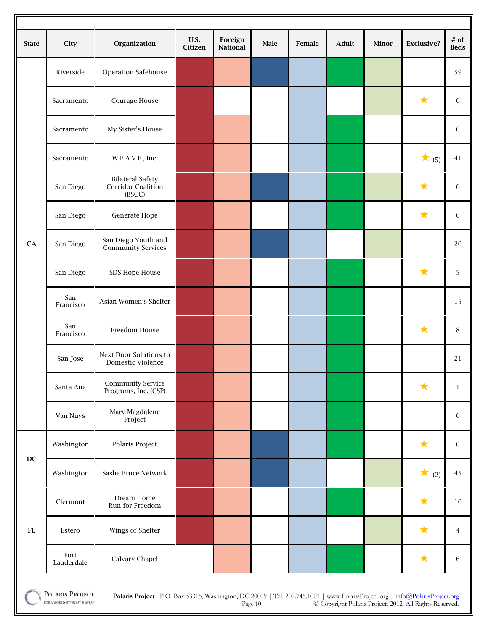|                        |                    |                                                         | <b>U.S.</b> | Foreign         |      |        |       |       |                   | $#$ of         |
|------------------------|--------------------|---------------------------------------------------------|-------------|-----------------|------|--------|-------|-------|-------------------|----------------|
| <b>State</b>           | City               | Organization                                            | Citizen     | <b>National</b> | Male | Female | Adult | Minor | <b>Exclusive?</b> | <b>Beds</b>    |
|                        | Riverside          | Operation Safehouse                                     |             |                 |      |        |       |       |                   | 59             |
|                        | Sacramento         | Courage House                                           |             |                 |      |        |       |       | $\bigstar$        | 6              |
|                        | Sacramento         | My Sister's House                                       |             |                 |      |        |       |       |                   | 6              |
|                        | Sacramento         | W.E.A.V.E., Inc.                                        |             |                 |      |        |       |       | $\star$ (5)       | $41\,$         |
|                        | San Diego          | <b>Bilateral Safety</b><br>Corridor Coalition<br>(BSCC) |             |                 |      |        |       |       | $\bigstar$        | 6              |
|                        | San Diego          | Generate Hope                                           |             |                 |      |        |       |       | $\bigstar$        | 6              |
| CA                     | San Diego          | San Diego Youth and<br><b>Community Services</b>        |             |                 |      |        |       |       |                   | 20             |
|                        | San Diego          | SDS Hope House                                          |             |                 |      |        |       |       | $\bigstar$        | 5              |
|                        | San<br>Francisco   | Asian Women's Shelter                                   |             |                 |      |        |       |       |                   | 15             |
|                        | San<br>Francisco   | Freedom House                                           |             |                 |      |        |       |       | $\bigstar$        | $\,8\,$        |
|                        | San Jose           | Next Door Solutions to<br>Domestic Violence             |             |                 |      |        |       |       |                   | 21             |
|                        | Santa Ana          | <b>Community Service</b><br>Programs, Inc. (CSP)        |             |                 |      |        |       |       | $\bigstar$        | $\,1$          |
|                        | Van Nuys           | Mary Magdalene<br>Project                               |             |                 |      |        |       |       |                   | $\,6\,$        |
| $\mathbf{D}\mathbf{C}$ | Washington         | Polaris Project                                         |             |                 |      |        |       |       | $\bigstar$        | $\,$ 6 $\,$    |
|                        | Washington         | Sasha Bruce Network                                     |             |                 |      |        |       |       | $\star$ (2)       | 45             |
|                        | Clermont           | Dream Home<br>Run for Freedom                           |             |                 |      |        |       |       | $\bigstar$        | 10             |
| ${\bf FL}$             | Estero             | Wings of Shelter                                        |             |                 |      |        |       |       | $\bigstar$        | $\overline{4}$ |
|                        | Fort<br>Lauderdale | Calvary Chapel                                          |             |                 |      |        |       |       | $\bigstar$        | $\,6\,$        |
|                        |                    |                                                         |             |                 |      |        |       |       |                   |                |

POLARIS PROJECT FOR A WORLD WITHOUT SLAVERY

**Polaris Project**| P.O. Box 53315, Washington, DC 20009 | Tel: 202.745.1001 | www.PolarisProject.org | info@PolarisProject.org Page 10 © Copyright Polaris Project, 2012. All Rights Reserved.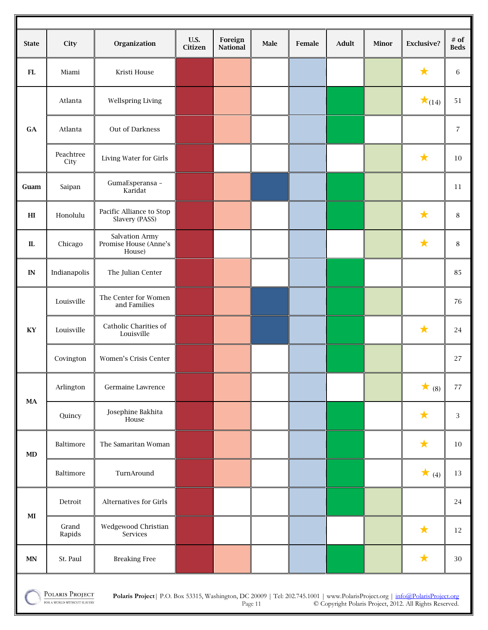| <b>State</b>  | City                                                                                                                                                                                                                                               | Organization                                      | <b>U.S.</b><br>Citizen | Foreign<br><b>National</b> | Male | Female | Adult | <b>Minor</b> | <b>Exclusive?</b> | $#$ of<br><b>Beds</b> |
|---------------|----------------------------------------------------------------------------------------------------------------------------------------------------------------------------------------------------------------------------------------------------|---------------------------------------------------|------------------------|----------------------------|------|--------|-------|--------------|-------------------|-----------------------|
| <b>FL</b>     | Miami                                                                                                                                                                                                                                              | Kristi House                                      |                        |                            |      |        |       |              | $\bigstar$        | 6                     |
|               | Atlanta                                                                                                                                                                                                                                            | Wellspring Living                                 |                        |                            |      |        |       |              | $\star$ (14)      | 51                    |
| GA            | Atlanta                                                                                                                                                                                                                                            | Out of Darkness                                   |                        |                            |      |        |       |              |                   | $\overline{7}$        |
|               | Peachtree<br>City                                                                                                                                                                                                                                  | Living Water for Girls                            |                        |                            |      |        |       |              | $\bigstar$        | 10                    |
| Guam          | Saipan                                                                                                                                                                                                                                             | GumaEsperansa -<br>Karidat                        |                        |                            |      |        |       |              |                   | 11                    |
| H             | Honolulu                                                                                                                                                                                                                                           | Pacific Alliance to Stop<br>Slavery (PASS)        |                        |                            |      |        |       |              | $\bigstar$        | $\,8\,$               |
| ${\rm I\!L}$  | Chicago                                                                                                                                                                                                                                            | Salvation Army<br>Promise House (Anne's<br>House) |                        |                            |      |        |       |              | $\bigstar$        | 8                     |
| IN            | Indianapolis                                                                                                                                                                                                                                       | The Julian Center                                 |                        |                            |      |        |       |              |                   | 85                    |
|               | Louisville                                                                                                                                                                                                                                         | The Center for Women<br>and Families              |                        |                            |      |        |       |              |                   | 76                    |
| KY            | Louisville                                                                                                                                                                                                                                         | Catholic Charities of<br>Louisville               |                        |                            |      |        |       |              | $\bigstar$        | 24                    |
|               | Covington                                                                                                                                                                                                                                          | Women's Crisis Center                             |                        |                            |      |        |       |              |                   | 27                    |
| <b>MA</b>     | Arlington                                                                                                                                                                                                                                          | Germaine Lawrence                                 |                        |                            |      |        |       |              | $\star$ (8)       | $77 \,$               |
|               | Quincy                                                                                                                                                                                                                                             | Josephine Bakhita<br>House                        |                        |                            |      |        |       |              | ★                 | 3                     |
| MD            | Baltimore                                                                                                                                                                                                                                          | The Samaritan Woman                               |                        |                            |      |        |       |              | ★                 | $10\,$                |
|               | Baltimore                                                                                                                                                                                                                                          | TurnAround                                        |                        |                            |      |        |       |              | $\star$ (4)       | 13                    |
| $\bf{MI}$     | Detroit                                                                                                                                                                                                                                            | Alternatives for Girls                            |                        |                            |      |        |       |              |                   | 24                    |
|               | Grand<br>Rapids                                                                                                                                                                                                                                    | Wedgewood Christian<br>Services                   |                        |                            |      |        |       |              | $\bigstar$        | 12                    |
| $\textbf{MN}$ | St. Paul                                                                                                                                                                                                                                           | <b>Breaking Free</b>                              |                        |                            |      |        |       |              | $\bigstar$        | $30\,$                |
|               | POLARIS PROJECT<br>Polaris Project   P.O. Box 53315, Washington, DC 20009   Tel: 202.745.1001   www.PolarisProject.org   info@PolarisProject.org<br>FOR A WORLD WITHOUT SLAVERY<br>© Convright Polaris Project 2012 All Rights Reserved<br>Daoe 11 |                                                   |                        |                            |      |        |       |              |                   |                       |

ī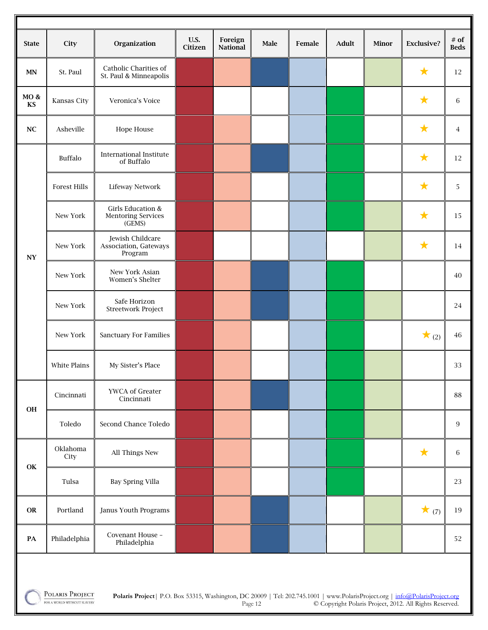| <b>State</b>               | City                | Organization                                             | <b>U.S.</b><br>Citizen | Foreign<br><b>National</b> | Male | Female | Adult | Minor | <b>Exclusive?</b> | $#$ of<br><b>Beds</b> |
|----------------------------|---------------------|----------------------------------------------------------|------------------------|----------------------------|------|--------|-------|-------|-------------------|-----------------------|
| <b>MN</b>                  | St. Paul            | Catholic Charities of<br>St. Paul & Minneapolis          |                        |                            |      |        |       |       | $\bigstar$        | 12                    |
| MO&<br>KS                  | Kansas City         | Veronica's Voice                                         |                        |                            |      |        |       |       | $\bigstar$        | 6                     |
| $\bf NC$                   | Asheville           | Hope House                                               |                        |                            |      |        |       |       | $\bigstar$        | 4                     |
|                            | Buffalo             | <b>International Institute</b><br>of Buffalo             |                        |                            |      |        |       |       | $\bigstar$        | 12                    |
|                            | <b>Forest Hills</b> | Lifeway Network                                          |                        |                            |      |        |       |       | $\bigstar$        | 5                     |
|                            | New York            | Girls Education &<br><b>Mentoring Services</b><br>(GEMS) |                        |                            |      |        |       |       | $\bigstar$        | 15                    |
| $\boldsymbol{\mathsf{NY}}$ | New York            | Jewish Childcare<br>Association, Gateways<br>Program     |                        |                            |      |        |       |       | $\bigstar$        | 14                    |
|                            | New York            | New York Asian<br>Women's Shelter                        |                        |                            |      |        |       |       |                   | 40                    |
|                            | New York            | Safe Horizon<br>Streetwork Project                       |                        |                            |      |        |       |       |                   | 24                    |
|                            | New York            | <b>Sanctuary For Families</b>                            |                        |                            |      |        |       |       | $\star$ (2)       | $\sqrt{46}$           |
|                            | White Plains        | My Sister's Place                                        |                        |                            |      |        |       |       |                   | 33                    |
| OH                         | Cincinnati          | YWCA of Greater<br>Cincinnati                            |                        |                            |      |        |       |       |                   | 88                    |
|                            | Toledo              | Second Chance Toledo                                     |                        |                            |      |        |       |       |                   | $\,9$                 |
|                            | Oklahoma<br>City    | All Things New                                           |                        |                            |      |        |       |       | $\star$           | $\,6\,$               |
| OK                         | Tulsa               | Bay Spring Villa                                         |                        |                            |      |        |       |       |                   | 23                    |
| ${\bf OR}$                 | Portland            | <b>Janus Youth Programs</b>                              |                        |                            |      |        |       |       | $\star$ (7)       | 19                    |
| $\mathbf{PA}$              | Philadelphia        | Covenant House -<br>Philadelphia                         |                        |                            |      |        |       |       |                   | 52                    |
|                            |                     |                                                          |                        |                            |      |        |       |       |                   |                       |

POLARIS PROJECT FOR A WORLD WITHOUT SLAVERY

**Polaris Project**| P.O. Box 53315, Washington, DC 20009 | Tel: 202.745.1001 | www.PolarisProject.org | info@PolarisProject.org Page 12 © Copyright Polaris Project, 2012. All Rights Reserved.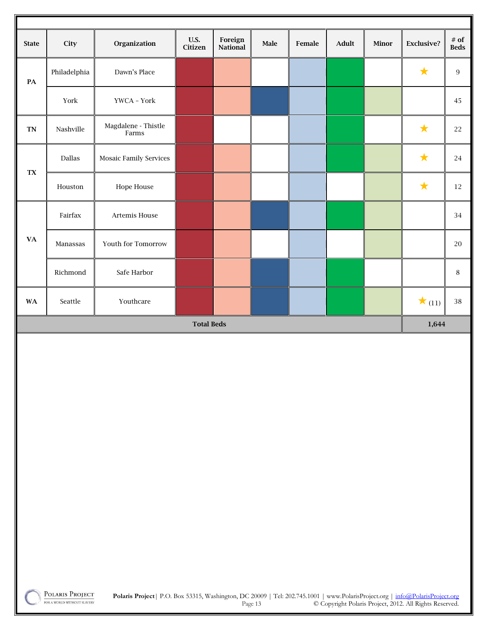| <b>State</b>           | City             | Organization                        | U.S.<br>Citizen   | Foreign<br>National | Male | Female | Adult | Minor | Exclusive?   | $\#$ of<br><b>Beds</b> |
|------------------------|------------------|-------------------------------------|-------------------|---------------------|------|--------|-------|-------|--------------|------------------------|
| $\mathbf{PA}$          | Philadelphia     | Dawn's Place                        |                   |                     |      |        |       |       | $\star$      | $\,9$                  |
|                        | York             | YWCA - York                         |                   |                     |      |        |       |       |              | 45                     |
| <b>TN</b>              | Nashville        | Magdalene - Thistle<br>$\rm{Farms}$ |                   |                     |      |        |       |       | $\star$      | $22\,$                 |
|                        | Dallas           | Mosaic Family Services              |                   |                     |      |        |       |       | $\star$      | $24\,$                 |
| <b>TX</b>              | ${\it Houston}$  | Hope House                          |                   |                     |      |        |       |       | $\star$      | $12\,$                 |
|                        | ${\rm Fair fax}$ | Artemis House                       |                   |                     |      |        |       |       |              | $34\,$                 |
| $\mathbf{V}\mathbf{A}$ | Manassas         | Youth for Tomorrow                  |                   |                     |      |        |       |       |              | $20\,$                 |
|                        | Richmond         | Safe Harbor                         |                   |                     |      |        |       |       |              | $\,8\,$                |
| $\mathbf{W}\mathbf{A}$ | Seattle          | Youthcare                           |                   |                     |      |        |       |       | $\star$ (11) | $38\,$                 |
|                        |                  |                                     | <b>Total Beds</b> |                     |      |        |       |       | 1,644        |                        |
|                        |                  |                                     |                   |                     |      |        |       |       |              |                        |
|                        |                  |                                     |                   |                     |      |        |       |       |              |                        |
|                        |                  |                                     |                   |                     |      |        |       |       |              |                        |
|                        |                  |                                     |                   |                     |      |        |       |       |              |                        |
|                        |                  |                                     |                   |                     |      |        |       |       |              |                        |
|                        |                  |                                     |                   |                     |      |        |       |       |              |                        |
|                        |                  |                                     |                   |                     |      |        |       |       |              |                        |
|                        |                  |                                     |                   |                     |      |        |       |       |              |                        |